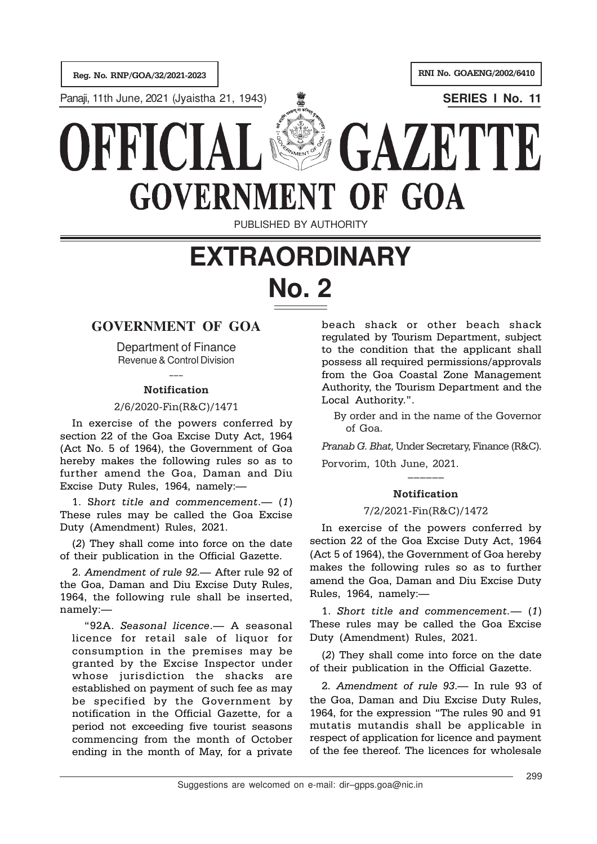Reg. No. RNP/GOA/32/2021-2023

RNI No. GOAENG/2002/6410

Panaji, 11th June, 2021 (Jyaistha 21, 1943) **SERIES I No. 11**





PUBLISHED BY AUTHORITY

# **EXTRAORDINARY No. 2**

## **GOVERNMENT OF GOA**

Department of Finance Revenue & Control Division

## $\overline{\phantom{a}}$ Notification

### 2/6/2020-Fin(R&C)/1471

In exercise of the powers conferred by section 22 of the Goa Excise Duty Act, 1964 (Act No. 5 of 1964), the Government of Goa hereby makes the following rules so as to further amend the Goa, Daman and Diu Excise Duty Rules, 1964, namely:—

1. Short title and commencement.— (1) These rules may be called the Goa Excise Duty (Amendment) Rules, 2021.

(2) They shall come into force on the date of their publication in the Official Gazette.

2. Amendment of rule 92.— After rule 92 of the Goa, Daman and Diu Excise Duty Rules, 1964, the following rule shall be inserted, namely:—

"92A. Seasonal licence.— A seasonal licence for retail sale of liquor for consumption in the premises may be granted by the Excise Inspector under whose jurisdiction the shacks are established on payment of such fee as may be specified by the Government by notification in the Official Gazette, for a period not exceeding five tourist seasons commencing from the month of October ending in the month of May, for a private

beach shack or other beach shack regulated by Tourism Department, subject to the condition that the applicant shall possess all required permissions/approvals from the Goa Coastal Zone Management Authority, the Tourism Department and the Local Authority.".

By order and in the name of the Governor of Goa.

Pranab G. Bhat, Under Secretary, Finance (R&C).

Porvorim, 10th June, 2021.

## –––––– Notification

#### 7/2/2021-Fin(R&C)/1472

In exercise of the powers conferred by section 22 of the Goa Excise Duty Act, 1964 (Act 5 of 1964), the Government of Goa hereby makes the following rules so as to further amend the Goa, Daman and Diu Excise Duty Rules, 1964, namely:—

1. Short title and commencement.— (1) These rules may be called the Goa Excise Duty (Amendment) Rules, 2021.

(2) They shall come into force on the date of their publication in the Official Gazette.

2. Amendment of rule 93.— In rule 93 of the Goa, Daman and Diu Excise Duty Rules, 1964, for the expression "The rules 90 and 91 mutatis mutandis shall be applicable in respect of application for licence and payment of the fee thereof. The licences for wholesale